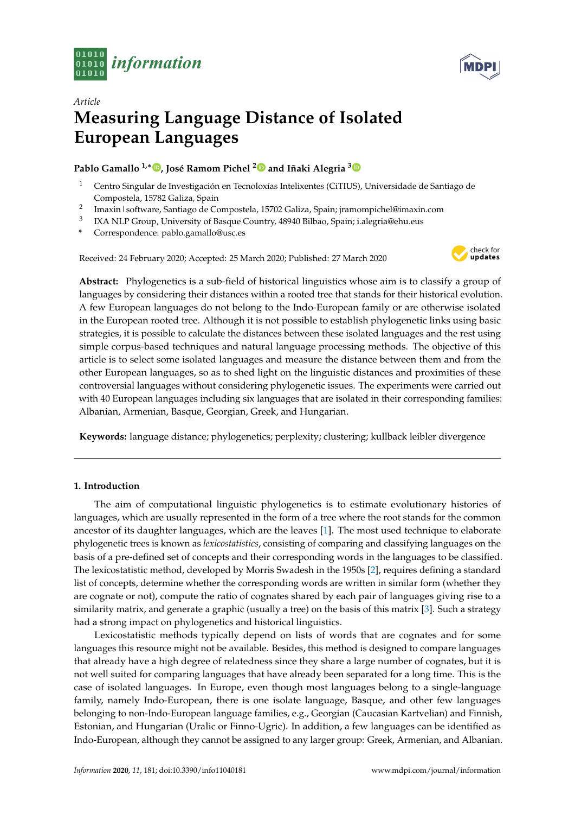



# *Article* **Measuring Language Distance of Isolated European Languages**

## **Pablo Gamallo 1,**<sup>∗</sup> **[,](https://orcid.org/0000-0002-5819-2469) José Ramom Pichel [2](https://orcid.org/0000-0001-5172-6803) and Iñaki Alegria [3](https://orcid.org/0000-0002-0272-1472)**

- <sup>1</sup> Centro Singular de Investigación en Tecnoloxías Intelixentes (CiTIUS), Universidade de Santiago de Compostela, 15782 Galiza, Spain
- 2 Imaxin|software, Santiago de Compostela, 15702 Galiza, Spain; jramompichel@imaxin.com
- 3 IXA NLP Group, University of Basque Country, 48940 Bilbao, Spain; i.alegria@ehu.eus
- **\*** Correspondence: pablo.gamallo@usc.es

Received: 24 February 2020; Accepted: 25 March 2020; Published: 27 March 2020



**Abstract:** Phylogenetics is a sub-field of historical linguistics whose aim is to classify a group of languages by considering their distances within a rooted tree that stands for their historical evolution. A few European languages do not belong to the Indo-European family or are otherwise isolated in the European rooted tree. Although it is not possible to establish phylogenetic links using basic strategies, it is possible to calculate the distances between these isolated languages and the rest using simple corpus-based techniques and natural language processing methods. The objective of this article is to select some isolated languages and measure the distance between them and from the other European languages, so as to shed light on the linguistic distances and proximities of these controversial languages without considering phylogenetic issues. The experiments were carried out with 40 European languages including six languages that are isolated in their corresponding families: Albanian, Armenian, Basque, Georgian, Greek, and Hungarian.

**Keywords:** language distance; phylogenetics; perplexity; clustering; kullback leibler divergence

## **1. Introduction**

The aim of computational linguistic phylogenetics is to estimate evolutionary histories of languages, which are usually represented in the form of a tree where the root stands for the common ancestor of its daughter languages, which are the leaves [\[1\]](#page-9-0). The most used technique to elaborate phylogenetic trees is known as *lexicostatistics*, consisting of comparing and classifying languages on the basis of a pre-defined set of concepts and their corresponding words in the languages to be classified. The lexicostatistic method, developed by Morris Swadesh in the 1950s [\[2\]](#page-9-1), requires defining a standard list of concepts, determine whether the corresponding words are written in similar form (whether they are cognate or not), compute the ratio of cognates shared by each pair of languages giving rise to a similarity matrix, and generate a graphic (usually a tree) on the basis of this matrix [\[3\]](#page-9-2). Such a strategy had a strong impact on phylogenetics and historical linguistics.

Lexicostatistic methods typically depend on lists of words that are cognates and for some languages this resource might not be available. Besides, this method is designed to compare languages that already have a high degree of relatedness since they share a large number of cognates, but it is not well suited for comparing languages that have already been separated for a long time. This is the case of isolated languages. In Europe, even though most languages belong to a single-language family, namely Indo-European, there is one isolate language, Basque, and other few languages belonging to non-Indo-European language families, e.g., Georgian (Caucasian Kartvelian) and Finnish, Estonian, and Hungarian (Uralic or Finno-Ugric). In addition, a few languages can be identified as Indo-European, although they cannot be assigned to any larger group: Greek, Armenian, and Albanian.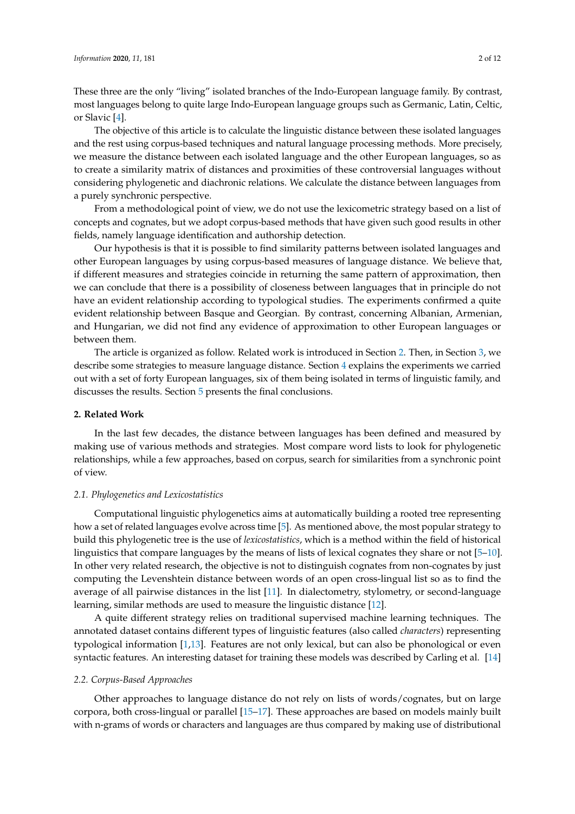These three are the only "living" isolated branches of the Indo-European language family. By contrast, most languages belong to quite large Indo-European language groups such as Germanic, Latin, Celtic, or Slavic [\[4\]](#page-9-3).

The objective of this article is to calculate the linguistic distance between these isolated languages and the rest using corpus-based techniques and natural language processing methods. More precisely, we measure the distance between each isolated language and the other European languages, so as to create a similarity matrix of distances and proximities of these controversial languages without considering phylogenetic and diachronic relations. We calculate the distance between languages from a purely synchronic perspective.

From a methodological point of view, we do not use the lexicometric strategy based on a list of concepts and cognates, but we adopt corpus-based methods that have given such good results in other fields, namely language identification and authorship detection.

Our hypothesis is that it is possible to find similarity patterns between isolated languages and other European languages by using corpus-based measures of language distance. We believe that, if different measures and strategies coincide in returning the same pattern of approximation, then we can conclude that there is a possibility of closeness between languages that in principle do not have an evident relationship according to typological studies. The experiments confirmed a quite evident relationship between Basque and Georgian. By contrast, concerning Albanian, Armenian, and Hungarian, we did not find any evidence of approximation to other European languages or between them.

The article is organized as follow. Related work is introduced in Section [2.](#page-1-0) Then, in Section [3,](#page-2-0) we describe some strategies to measure language distance. Section [4](#page-5-0) explains the experiments we carried out with a set of forty European languages, six of them being isolated in terms of linguistic family, and discusses the results. Section [5](#page-9-4) presents the final conclusions.

#### <span id="page-1-0"></span>**2. Related Work**

In the last few decades, the distance between languages has been defined and measured by making use of various methods and strategies. Most compare word lists to look for phylogenetic relationships, while a few approaches, based on corpus, search for similarities from a synchronic point of view.

## *2.1. Phylogenetics and Lexicostatistics*

Computational linguistic phylogenetics aims at automatically building a rooted tree representing how a set of related languages evolve across time [\[5\]](#page-9-5). As mentioned above, the most popular strategy to build this phylogenetic tree is the use of *lexicostatistics*, which is a method within the field of historical linguistics that compare languages by the means of lists of lexical cognates they share or not [\[5–](#page-9-5)[10\]](#page-9-6). In other very related research, the objective is not to distinguish cognates from non-cognates by just computing the Levenshtein distance between words of an open cross-lingual list so as to find the average of all pairwise distances in the list [\[11\]](#page-9-7). In dialectometry, stylometry, or second-language learning, similar methods are used to measure the linguistic distance [\[12\]](#page-10-0).

A quite different strategy relies on traditional supervised machine learning techniques. The annotated dataset contains different types of linguistic features (also called *characters*) representing typological information [\[1](#page-9-0)[,13\]](#page-10-1). Features are not only lexical, but can also be phonological or even syntactic features. An interesting dataset for training these models was described by Carling et al. [\[14\]](#page-10-2)

#### *2.2. Corpus-Based Approaches*

Other approaches to language distance do not rely on lists of words/cognates, but on large corpora, both cross-lingual or parallel [\[15–](#page-10-3)[17\]](#page-10-4). These approaches are based on models mainly built with n-grams of words or characters and languages are thus compared by making use of distributional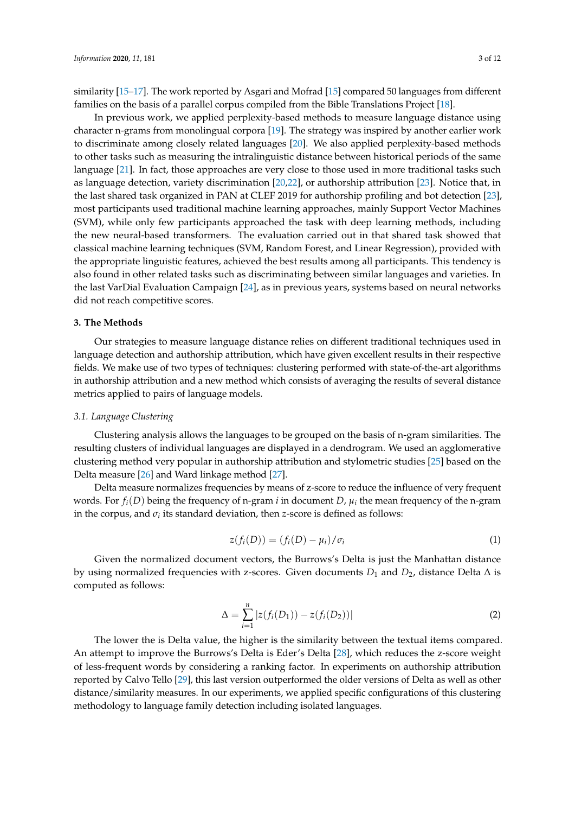similarity [\[15](#page-10-3)[–17\]](#page-10-4). The work reported by Asgari and Mofrad [\[15\]](#page-10-3) compared 50 languages from different families on the basis of a parallel corpus compiled from the Bible Translations Project [\[18\]](#page-10-5).

In previous work, we applied perplexity-based methods to measure language distance using character n-grams from monolingual corpora [\[19\]](#page-10-6). The strategy was inspired by another earlier work to discriminate among closely related languages [\[20\]](#page-10-7). We also applied perplexity-based methods to other tasks such as measuring the intralinguistic distance between historical periods of the same language [\[21\]](#page-10-8). In fact, those approaches are very close to those used in more traditional tasks such as language detection, variety discrimination [\[20](#page-10-7)[,22\]](#page-10-9), or authorship attribution [\[23\]](#page-10-10). Notice that, in the last shared task organized in PAN at CLEF 2019 for authorship profiling and bot detection [\[23\]](#page-10-10), most participants used traditional machine learning approaches, mainly Support Vector Machines (SVM), while only few participants approached the task with deep learning methods, including the new neural-based transformers. The evaluation carried out in that shared task showed that classical machine learning techniques (SVM, Random Forest, and Linear Regression), provided with the appropriate linguistic features, achieved the best results among all participants. This tendency is also found in other related tasks such as discriminating between similar languages and varieties. In the last VarDial Evaluation Campaign [\[24\]](#page-10-11), as in previous years, systems based on neural networks did not reach competitive scores.

#### <span id="page-2-0"></span>**3. The Methods**

Our strategies to measure language distance relies on different traditional techniques used in language detection and authorship attribution, which have given excellent results in their respective fields. We make use of two types of techniques: clustering performed with state-of-the-art algorithms in authorship attribution and a new method which consists of averaging the results of several distance metrics applied to pairs of language models.

## *3.1. Language Clustering*

Clustering analysis allows the languages to be grouped on the basis of n-gram similarities. The resulting clusters of individual languages are displayed in a dendrogram. We used an agglomerative clustering method very popular in authorship attribution and stylometric studies [\[25\]](#page-10-12) based on the Delta measure [\[26\]](#page-10-13) and Ward linkage method [\[27\]](#page-10-14).

Delta measure normalizes frequencies by means of z-score to reduce the influence of very frequent words. For  $f_i(D)$  being the frequency of n-gram *i* in document *D*,  $\mu_i$  the mean frequency of the n-gram in the corpus, and  $\sigma_i$  its standard deviation, then *z*-score is defined as follows:

$$
z(f_i(D)) = (f_i(D) - \mu_i)/\sigma_i
$$
\n(1)

Given the normalized document vectors, the Burrows's Delta is just the Manhattan distance by using normalized frequencies with z-scores. Given documents *D*<sup>1</sup> and *D*2, distance Delta ∆ is computed as follows:

$$
\Delta = \sum_{i=1}^{n} |z(f_i(D_1)) - z(f_i(D_2))| \tag{2}
$$

The lower the is Delta value, the higher is the similarity between the textual items compared. An attempt to improve the Burrows's Delta is Eder's Delta [\[28\]](#page-10-15), which reduces the z-score weight of less-frequent words by considering a ranking factor. In experiments on authorship attribution reported by Calvo Tello [\[29\]](#page-10-16), this last version outperformed the older versions of Delta as well as other distance/similarity measures. In our experiments, we applied specific configurations of this clustering methodology to language family detection including isolated languages.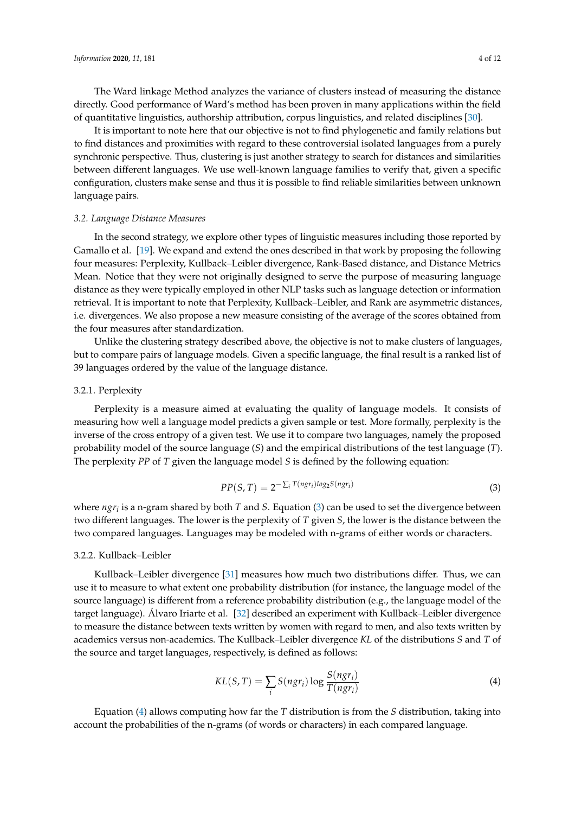The Ward linkage Method analyzes the variance of clusters instead of measuring the distance directly. Good performance of Ward's method has been proven in many applications within the field of quantitative linguistics, authorship attribution, corpus linguistics, and related disciplines [\[30\]](#page-10-17).

It is important to note here that our objective is not to find phylogenetic and family relations but to find distances and proximities with regard to these controversial isolated languages from a purely synchronic perspective. Thus, clustering is just another strategy to search for distances and similarities between different languages. We use well-known language families to verify that, given a specific configuration, clusters make sense and thus it is possible to find reliable similarities between unknown language pairs.

#### *3.2. Language Distance Measures*

In the second strategy, we explore other types of linguistic measures including those reported by Gamallo et al. [\[19\]](#page-10-6). We expand and extend the ones described in that work by proposing the following four measures: Perplexity, Kullback–Leibler divergence, Rank-Based distance, and Distance Metrics Mean. Notice that they were not originally designed to serve the purpose of measuring language distance as they were typically employed in other NLP tasks such as language detection or information retrieval. It is important to note that Perplexity, Kullback–Leibler, and Rank are asymmetric distances, i.e. divergences. We also propose a new measure consisting of the average of the scores obtained from the four measures after standardization.

Unlike the clustering strategy described above, the objective is not to make clusters of languages, but to compare pairs of language models. Given a specific language, the final result is a ranked list of 39 languages ordered by the value of the language distance.

#### 3.2.1. Perplexity

Perplexity is a measure aimed at evaluating the quality of language models. It consists of measuring how well a language model predicts a given sample or test. More formally, perplexity is the inverse of the cross entropy of a given test. We use it to compare two languages, namely the proposed probability model of the source language (*S*) and the empirical distributions of the test language (*T*). The perplexity *PP* of *T* given the language model *S* is defined by the following equation:

<span id="page-3-0"></span>
$$
PP(S, T) = 2^{-\sum_{i} T(ngr_i)log_2 S(ngr_i)}
$$
\n(3)

where *ngr<sup>i</sup>* is a n-gram shared by both *T* and *S*. Equation [\(3\)](#page-3-0) can be used to set the divergence between two different languages. The lower is the perplexity of *T* given *S*, the lower is the distance between the two compared languages. Languages may be modeled with n-grams of either words or characters.

#### 3.2.2. Kullback–Leibler

Kullback–Leibler divergence [\[31\]](#page-10-18) measures how much two distributions differ. Thus, we can use it to measure to what extent one probability distribution (for instance, the language model of the source language) is different from a reference probability distribution (e.g., the language model of the target language). Álvaro Iriarte et al. [\[32\]](#page-10-19) described an experiment with Kullback–Leibler divergence to measure the distance between texts written by women with regard to men, and also texts written by academics versus non-academics. The Kullback–Leibler divergence *KL* of the distributions *S* and *T* of the source and target languages, respectively, is defined as follows:

<span id="page-3-1"></span>
$$
KL(S, T) = \sum_{i} S(ngr_i) \log \frac{S(ngr_i)}{T(ngr_i)}
$$
(4)

Equation [\(4\)](#page-3-1) allows computing how far the *T* distribution is from the *S* distribution, taking into account the probabilities of the n-grams (of words or characters) in each compared language.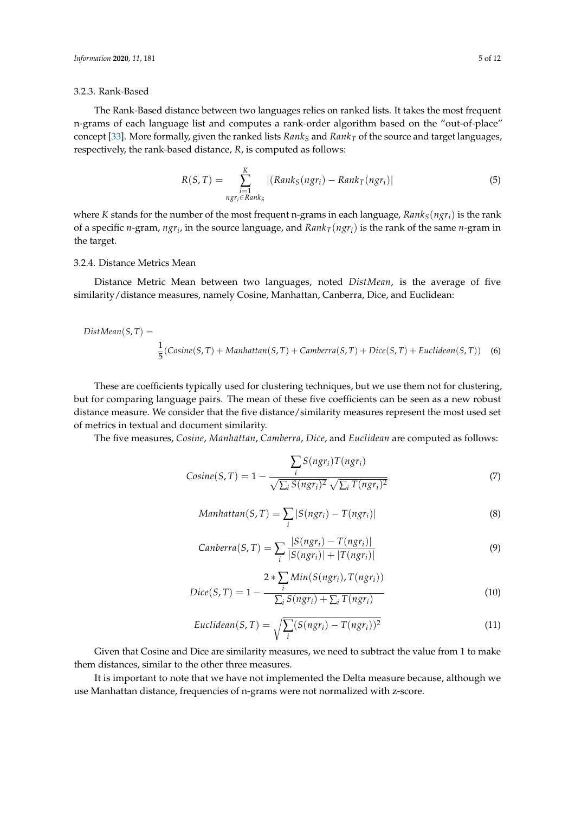## 3.2.3. Rank-Based

The Rank-Based distance between two languages relies on ranked lists. It takes the most frequent n-grams of each language list and computes a rank-order algorithm based on the "out-of-place" concept [\[33\]](#page-10-20). More formally, given the ranked lists *Rank<sup>S</sup>* and *Rank<sup>T</sup>* of the source and target languages, respectively, the rank-based distance, *R*, is computed as follows:

$$
R(S,T) = \sum_{\substack{i=1 \ ngr_i \in Rank_S}}^{K} |(Rank_S(ngr_i) - Rank_T(ngr_i)|
$$
\n(5)

where *K* stands for the number of the most frequent n-grams in each language, *RankS*(*ngri*) is the rank of a specific *n*-gram, *ngr<sup>i</sup>* , in the source language, and *RankT*(*ngri*) is the rank of the same *n*-gram in the target.

## 3.2.4. Distance Metrics Mean

Distance Metric Mean between two languages, noted *DistMean*, is the average of five similarity/distance measures, namely Cosine, Manhattan, Canberra, Dice, and Euclidean:

$$
DistMean(S, T) =
$$
  

$$
\frac{1}{5}(Cosine(S, T) + Manhattan(S, T) + Camberra(S, T) + Dice(S, T) + Euclidean(S, T))
$$
 (6)

These are coefficients typically used for clustering techniques, but we use them not for clustering, but for comparing language pairs. The mean of these five coefficients can be seen as a new robust distance measure. We consider that the five distance/similarity measures represent the most used set of metrics in textual and document similarity.

The five measures, *Cosine*, *Manhattan*, *Camberra*, *Dice*, and *Euclidean* are computed as follows:

$$
Cosine(S, T) = 1 - \frac{\sum_{i} S(ngr_i)T(ngr_i)}{\sqrt{\sum_{i} S(ngr_i)^2} \sqrt{\sum_{i} T(ngr_i)^2}}
$$
(7)

$$
Manhattan(S, T) = \sum_{i} |S(ngr_i) - T(ngr_i)|
$$
\n(8)

$$
Canberra(S, T) = \sum_{i} \frac{|S(ngr_i) - T(ngr_i)|}{|S(ngr_i)| + |T(ngr_i)|}
$$
\n(9)

$$
Dice(S, T) = 1 - \frac{2 * \sum_{i} Min(S(ngr_i), T(ngr_i))}{\sum_{i} S(ngr_i) + \sum_{i} T(ngr_i)}
$$
(10)

$$
Euclidean(S, T) = \sqrt{\sum_{i} (S(ngr_i) - T(ngr_i))^2}
$$
\n(11)

Given that Cosine and Dice are similarity measures, we need to subtract the value from 1 to make them distances, similar to the other three measures.

It is important to note that we have not implemented the Delta measure because, although we use Manhattan distance, frequencies of n-grams were not normalized with z-score.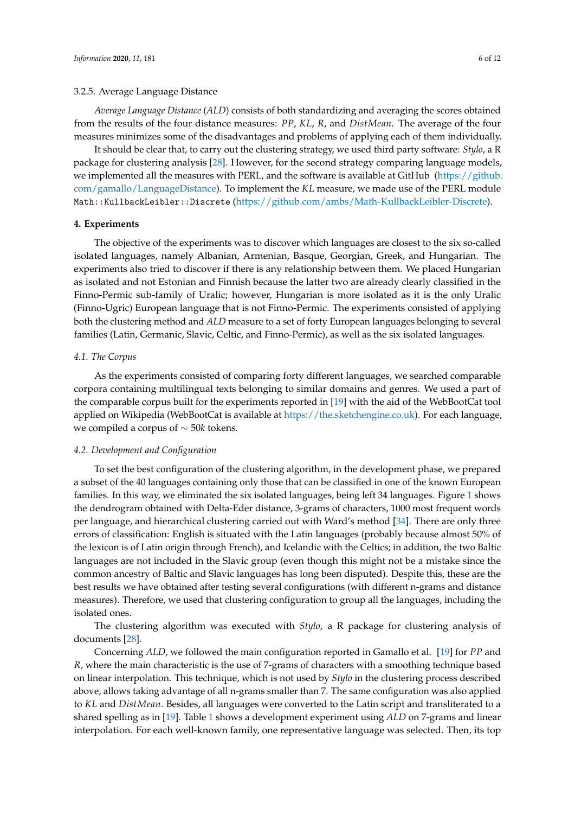#### 3.2.5. Average Language Distance

*Average Language Distance* (*ALD*) consists of both standardizing and averaging the scores obtained from the results of the four distance measures: *PP*, *KL*, *R*, and *DistMean*. The average of the four measures minimizes some of the disadvantages and problems of applying each of them individually.

It should be clear that, to carry out the clustering strategy, we used third party software: *Stylo*, a R package for clustering analysis [\[28\]](#page-10-15). However, for the second strategy comparing language models, we implemented all the measures with PERL, and the software is available at GitHub [\(https://github.](https://github.com/gamallo/LanguageDistance) [com/gamallo/LanguageDistance\)](https://github.com/gamallo/LanguageDistance). To implement the *KL* measure, we made use of the PERL module Math::KullbackLeibler::Discrete [\(https://github.com/ambs/Math-KullbackLeibler-Discrete\)](https://github.com/ambs/Math-KullbackLeibler-Discrete).

#### <span id="page-5-0"></span>**4. Experiments**

The objective of the experiments was to discover which languages are closest to the six so-called isolated languages, namely Albanian, Armenian, Basque, Georgian, Greek, and Hungarian. The experiments also tried to discover if there is any relationship between them. We placed Hungarian as isolated and not Estonian and Finnish because the latter two are already clearly classified in the Finno-Permic sub-family of Uralic; however, Hungarian is more isolated as it is the only Uralic (Finno-Ugric) European language that is not Finno-Permic. The experiments consisted of applying both the clustering method and *ALD* measure to a set of forty European languages belonging to several families (Latin, Germanic, Slavic, Celtic, and Finno-Permic), as well as the six isolated languages.

## *4.1. The Corpus*

As the experiments consisted of comparing forty different languages, we searched comparable corpora containing multilingual texts belonging to similar domains and genres. We used a part of the comparable corpus built for the experiments reported in [\[19\]](#page-10-6) with the aid of the WebBootCat tool applied on Wikipedia (WebBootCat is available at [https://the.sketchengine.co.uk\)](https://the.sketchengine.co.uk). For each language, we compiled a corpus of ∼ 50*k* tokens.

#### *4.2. Development and Configuration*

To set the best configuration of the clustering algorithm, in the development phase, we prepared a subset of the 40 languages containing only those that can be classified in one of the known European families. In this way, we eliminated the six isolated languages, being left 34 languages. Figure [1](#page-6-0) shows the dendrogram obtained with Delta-Eder distance, 3-grams of characters, 1000 most frequent words per language, and hierarchical clustering carried out with Ward's method [\[34\]](#page-11-0). There are only three errors of classification: English is situated with the Latin languages (probably because almost 50% of the lexicon is of Latin origin through French), and Icelandic with the Celtics; in addition, the two Baltic languages are not included in the Slavic group (even though this might not be a mistake since the common ancestry of Baltic and Slavic languages has long been disputed). Despite this, these are the best results we have obtained after testing several configurations (with different n-grams and distance measures). Therefore, we used that clustering configuration to group all the languages, including the isolated ones.

The clustering algorithm was executed with *Stylo*, a R package for clustering analysis of documents [\[28\]](#page-10-15).

Concerning *ALD*, we followed the main configuration reported in Gamallo et al. [\[19\]](#page-10-6) for *PP* and *R*, where the main characteristic is the use of 7-grams of characters with a smoothing technique based on linear interpolation. This technique, which is not used by *Stylo* in the clustering process described above, allows taking advantage of all n-grams smaller than 7. The same configuration was also applied to *KL* and *DistMean*. Besides, all languages were converted to the Latin script and transliterated to a shared spelling as in [\[19\]](#page-10-6). Table [1](#page-6-1) shows a development experiment using *ALD* on 7-grams and linear interpolation. For each well-known family, one representative language was selected. Then, its top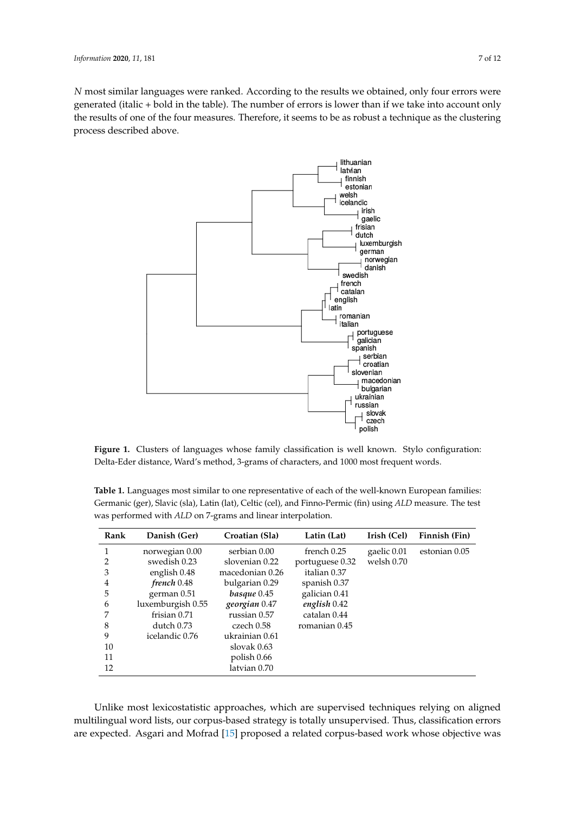<span id="page-6-0"></span>*N* most similar languages were ranked. According to the results we obtained, only four errors were generated (italic + bold in the table). The number of errors is lower than if we take into account only the results of one of the four measures. Therefore, it seems to be as robust a technique as the clustering process described above.



**Figure 1.** Clusters of languages whose family classification is well known. Stylo configuration: Delta-Eder distance, Ward's method, 3-grams of characters, and 1000 most frequent words.

<span id="page-6-1"></span>**Table 1.** Languages most similar to one representative of each of the well-known European families: Germanic (ger), Slavic (sla), Latin (lat), Celtic (cel), and Finno-Permic (fin) using *ALD* measure. The test was performed with *ALD* on 7-grams and linear interpolation.

| Rank           | Danish (Ger)      | Croatian (Sla)  | Latin (Lat)     | Irish (Cel) | Finnish (Fin) |
|----------------|-------------------|-----------------|-----------------|-------------|---------------|
| 1              | norwegian 0.00    | serbian 0.00    | french 0.25     | gaelic 0.01 | estonian 0.05 |
| $\overline{2}$ | swedish 0.23      | slovenian 0.22  | portuguese 0.32 | welsh 0.70  |               |
| 3              | english 0.48      | macedonian 0.26 | italian 0.37    |             |               |
| 4              | french 0.48       | bulgarian 0.29  | spanish 0.37    |             |               |
| 5              | german 0.51       | $basque 0.45$   | galician 0.41   |             |               |
| 6              | luxemburgish 0.55 | georgian 0.47   | english 0.42    |             |               |
| 7              | frisian 0.71      | russian 0.57    | catalan 0.44    |             |               |
| 8              | dutch 0.73        | czech 0.58      | romanian 0.45   |             |               |
| 9              | icelandic 0.76    | ukrainian 0.61  |                 |             |               |
| 10             |                   | slovak $0.63$   |                 |             |               |
| 11             |                   | polish 0.66     |                 |             |               |
| 12             |                   | latvian 0.70    |                 |             |               |

Unlike most lexicostatistic approaches, which are supervised techniques relying on aligned multilingual word lists, our corpus-based strategy is totally unsupervised. Thus, classification errors are expected. Asgari and Mofrad [\[15\]](#page-10-3) proposed a related corpus-based work whose objective was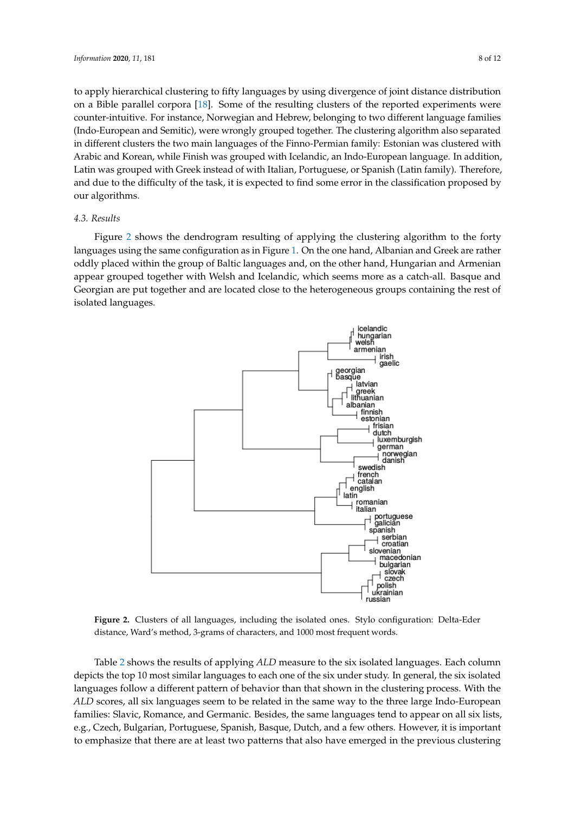to apply hierarchical clustering to fifty languages by using divergence of joint distance distribution on a Bible parallel corpora [\[18\]](#page-10-5). Some of the resulting clusters of the reported experiments were counter-intuitive. For instance, Norwegian and Hebrew, belonging to two different language families (Indo-European and Semitic), were wrongly grouped together. The clustering algorithm also separated in different clusters the two main languages of the Finno-Permian family: Estonian was clustered with Arabic and Korean, while Finish was grouped with Icelandic, an Indo-European language. In addition, Latin was grouped with Greek instead of with Italian, Portuguese, or Spanish (Latin family). Therefore, and due to the difficulty of the task, it is expected to find some error in the classification proposed by our algorithms.

#### *4.3. Results*

Figure [2](#page-7-0) shows the dendrogram resulting of applying the clustering algorithm to the forty languages using the same configuration as in Figure [1.](#page-6-0) On the one hand, Albanian and Greek are rather oddly placed within the group of Baltic languages and, on the other hand, Hungarian and Armenian appear grouped together with Welsh and Icelandic, which seems more as a catch-all. Basque and Georgian are put together and are located close to the heterogeneous groups containing the rest of isolated languages.

<span id="page-7-0"></span>

**Figure 2.** Clusters of all languages, including the isolated ones. Stylo configuration: Delta-Eder distance, Ward's method, 3-grams of characters, and 1000 most frequent words.

Table [2](#page-8-0) shows the results of applying *ALD* measure to the six isolated languages. Each column depicts the top 10 most similar languages to each one of the six under study. In general, the six isolated languages follow a different pattern of behavior than that shown in the clustering process. With the *ALD* scores, all six languages seem to be related in the same way to the three large Indo-European families: Slavic, Romance, and Germanic. Besides, the same languages tend to appear on all six lists, e.g., Czech, Bulgarian, Portuguese, Spanish, Basque, Dutch, and a few others. However, it is important to emphasize that there are at least two patterns that also have emerged in the previous clustering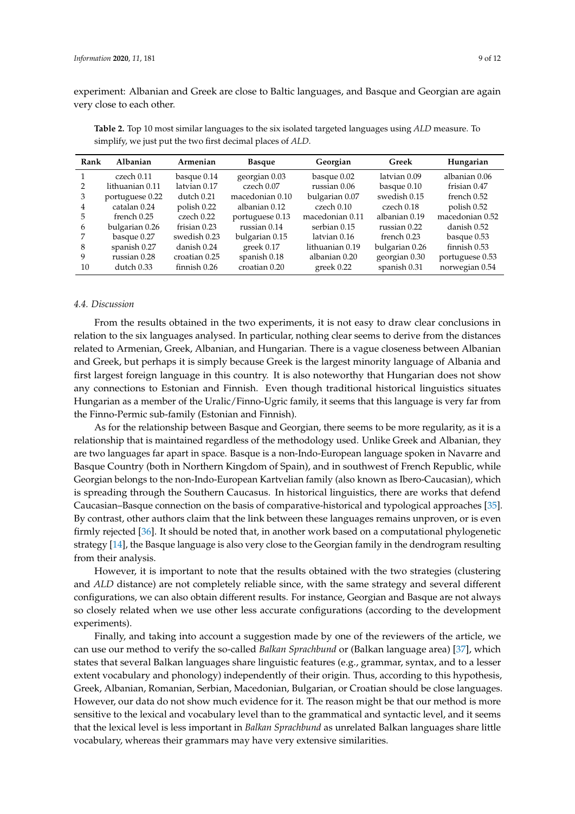experiment: Albanian and Greek are close to Baltic languages, and Basque and Georgian are again very close to each other.

| Rank | Albanian        | Armenian                | <b>Basque</b>   | Georgian        | Greek          | Hungarian       |
|------|-----------------|-------------------------|-----------------|-----------------|----------------|-----------------|
|      | czech 0.11      | basque 0.14             | georgian 0.03   | basque 0.02     | latvian 0.09   | albanian 0.06   |
|      | lithuanian 0.11 | latvian 0.17            | czech 0.07      | russian 0.06    | basque 0.10    | frisian 0.47    |
| 3    | portuguese 0.22 | $d$ utch $0.21$         | macedonian 0.10 | bulgarian 0.07  | swedish 0.15   | french 0.52     |
| 4    | catalan 0.24    | polish 0.22             | albanian 0.12   | czech 0.10      | czech 0.18     | polish 0.52     |
| 5    | french 0.25     | czech 0.22              | portuguese 0.13 | macedonian 0.11 | albanian 0.19  | macedonian 0.52 |
| 6    | bulgarian 0.26  | frisian 0.23            | russian 0.14    | serbian 0.15    | russian 0.22   | danish 0.52     |
|      | basque 0.27     | swedish 0.23            | bulgarian 0.15  | latvian 0.16    | french 0.23    | basque 0.53     |
| 8    | spanish 0.27    | danish 0.24             | greek $0.17$    | lithuanian 0.19 | bulgarian 0.26 | finnish 0.53    |
| 9    | russian 0.28    | croatian 0.25           | spanish 0.18    | albanian 0.20   | georgian 0.30  | portuguese 0.53 |
| 10   | dutch 0.33      | finnish <sub>0.26</sub> | croatian 0.20   | greek 0.22      | spanish 0.31   | norwegian 0.54  |

<span id="page-8-0"></span>**Table 2.** Top 10 most similar languages to the six isolated targeted languages using *ALD* measure. To simplify, we just put the two first decimal places of *ALD*.

## *4.4. Discussion*

From the results obtained in the two experiments, it is not easy to draw clear conclusions in relation to the six languages analysed. In particular, nothing clear seems to derive from the distances related to Armenian, Greek, Albanian, and Hungarian. There is a vague closeness between Albanian and Greek, but perhaps it is simply because Greek is the largest minority language of Albania and first largest foreign language in this country. It is also noteworthy that Hungarian does not show any connections to Estonian and Finnish. Even though traditional historical linguistics situates Hungarian as a member of the Uralic/Finno-Ugric family, it seems that this language is very far from the Finno-Permic sub-family (Estonian and Finnish).

As for the relationship between Basque and Georgian, there seems to be more regularity, as it is a relationship that is maintained regardless of the methodology used. Unlike Greek and Albanian, they are two languages far apart in space. Basque is a non-Indo-European language spoken in Navarre and Basque Country (both in Northern Kingdom of Spain), and in southwest of French Republic, while Georgian belongs to the non-Indo-European Kartvelian family (also known as Ibero-Caucasian), which is spreading through the Southern Caucasus. In historical linguistics, there are works that defend Caucasian–Basque connection on the basis of comparative-historical and typological approaches [\[35\]](#page-11-1). By contrast, other authors claim that the link between these languages remains unproven, or is even firmly rejected [\[36\]](#page-11-2). It should be noted that, in another work based on a computational phylogenetic strategy [\[14\]](#page-10-2), the Basque language is also very close to the Georgian family in the dendrogram resulting from their analysis.

However, it is important to note that the results obtained with the two strategies (clustering and *ALD* distance) are not completely reliable since, with the same strategy and several different configurations, we can also obtain different results. For instance, Georgian and Basque are not always so closely related when we use other less accurate configurations (according to the development experiments).

Finally, and taking into account a suggestion made by one of the reviewers of the article, we can use our method to verify the so-called *Balkan Sprachbund* or (Balkan language area) [\[37\]](#page-11-3), which states that several Balkan languages share linguistic features (e.g., grammar, syntax, and to a lesser extent vocabulary and phonology) independently of their origin. Thus, according to this hypothesis, Greek, Albanian, Romanian, Serbian, Macedonian, Bulgarian, or Croatian should be close languages. However, our data do not show much evidence for it. The reason might be that our method is more sensitive to the lexical and vocabulary level than to the grammatical and syntactic level, and it seems that the lexical level is less important in *Balkan Sprachbund* as unrelated Balkan languages share little vocabulary, whereas their grammars may have very extensive similarities.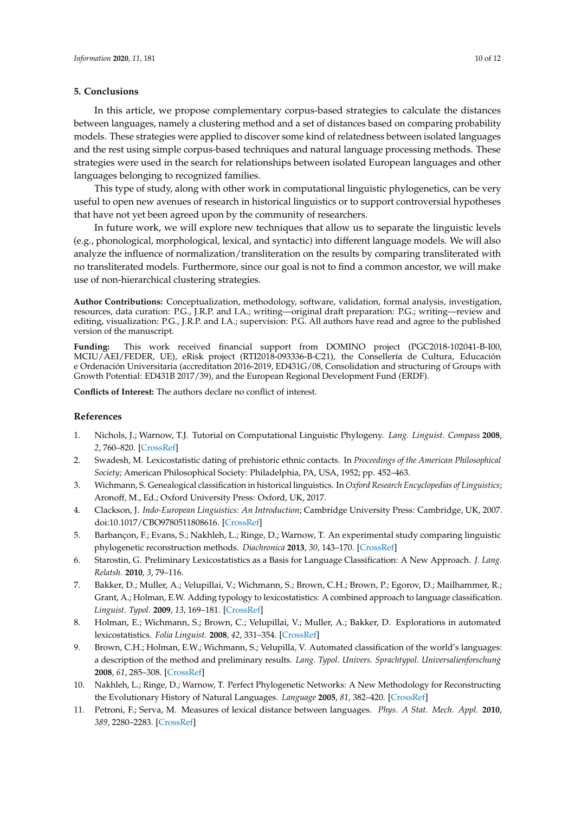## <span id="page-9-4"></span>**5. Conclusions**

In this article, we propose complementary corpus-based strategies to calculate the distances between languages, namely a clustering method and a set of distances based on comparing probability models. These strategies were applied to discover some kind of relatedness between isolated languages and the rest using simple corpus-based techniques and natural language processing methods. These strategies were used in the search for relationships between isolated European languages and other languages belonging to recognized families.

This type of study, along with other work in computational linguistic phylogenetics, can be very useful to open new avenues of research in historical linguistics or to support controversial hypotheses that have not yet been agreed upon by the community of researchers.

In future work, we will explore new techniques that allow us to separate the linguistic levels (e.g., phonological, morphological, lexical, and syntactic) into different language models. We will also analyze the influence of normalization/transliteration on the results by comparing transliterated with no transliterated models. Furthermore, since our goal is not to find a common ancestor, we will make use of non-hierarchical clustering strategies.

**Author Contributions:** Conceptualization, methodology, software, validation, formal analysis, investigation, resources, data curation: P.G., J.R.P. and I.A.; writing—original draft preparation: P.G.; writing—review and editing, visualization: P.G., J.R.P. and I.A.; supervision: P.G. All authors have read and agree to the published version of the manuscript.

**Funding:** This work received financial support from DOMINO project (PGC2018-102041-B-I00, MCIU/AEI/FEDER, UE), eRisk project (RTI2018-093336-B-C21), the Consellería de Cultura, Educación e Ordenación Universitaria (accreditation 2016-2019, ED431G/08, Consolidation and structuring of Groups with Growth Potential: ED431B 2017/39), and the European Regional Development Fund (ERDF).

**Conflicts of Interest:** The authors declare no conflict of interest.

## **References**

- <span id="page-9-0"></span>1. Nichols, J.; Warnow, T.J. Tutorial on Computational Linguistic Phylogeny. *Lang. Linguist. Compass* **2008**, *2*, 760–820. [\[CrossRef\]](http://dx.doi.org/10.1111/j.1749-818X.2008.00082.x)
- <span id="page-9-1"></span>2. Swadesh, M. Lexicostatistic dating of prehistoric ethnic contacts. In *Proceedings of the American Philosophical Society*; American Philosophical Society: Philadelphia, PA, USA, 1952; pp. 452–463.
- <span id="page-9-2"></span>3. Wichmann, S. Genealogical classification in historical linguistics. In *Oxford Research Encyclopedias of Linguistics*; Aronoff, M., Ed.; Oxford University Press: Oxford, UK, 2017.
- <span id="page-9-3"></span>4. Clackson, J. *Indo-European Linguistics: An Introduction*; Cambridge University Press: Cambridge, UK, 2007. doi[:10.1017/CBO9780511808616.](https://doi.org/10.1017/CBO9780511808616) [\[CrossRef\]](http://dx.doi.org/10.1017/CBO9780511808616)
- <span id="page-9-5"></span>5. Barbançon, F.; Evans, S.; Nakhleh, L.; Ringe, D.; Warnow, T. An experimental study comparing linguistic phylogenetic reconstruction methods. *Diachronica* **2013**, *30*, 143–170. [\[CrossRef\]](http://dx.doi.org/10.1075/dia.30.2.01bar)
- 6. Starostin, G. Preliminary Lexicostatistics as a Basis for Language Classification: A New Approach. *J. Lang. Relatsh.* **2010**, *3*, 79–116.
- 7. Bakker, D.; Muller, A.; Velupillai, V.; Wichmann, S.; Brown, C.H.; Brown, P.; Egorov, D.; Mailhammer, R.; Grant, A.; Holman, E.W. Adding typology to lexicostatistics: A combined approach to language classification. *Linguist. Typol.* **2009**, *13*, 169–181. [\[CrossRef\]](http://dx.doi.org/10.1515/LITY.2009.009)
- 8. Holman, E.; Wichmann, S.; Brown, C.; Velupillai, V.; Muller, A.; Bakker, D. Explorations in automated lexicostatistics. *Folia Linguist.* **2008**, *42*, 331–354. [\[CrossRef\]](http://dx.doi.org/10.1515/FLIN.2008.331)
- 9. Brown, C.H.; Holman, E.W.; Wichmann, S.; Velupilla, V. Automated classification of the world's languages: a description of the method and preliminary results. *Lang. Typol. Univers. Sprachtypol. Universalienforschung* **2008**, *61*, 285–308. [\[CrossRef\]](http://dx.doi.org/10.1524/stuf.2008.0026)
- <span id="page-9-6"></span>10. Nakhleh, L.; Ringe, D.; Warnow, T. Perfect Phylogenetic Networks: A New Methodology for Reconstructing the Evolutionary History of Natural Languages. *Language* **2005**, *81*, 382–420. [\[CrossRef\]](http://dx.doi.org/10.1353/lan.2005.0078)
- <span id="page-9-7"></span>11. Petroni, F.; Serva, M. Measures of lexical distance between languages. *Phys. A Stat. Mech. Appl.* **2010**, *389*, 2280–2283. [\[CrossRef\]](http://dx.doi.org/10.1016/j.physa.2010.02.004)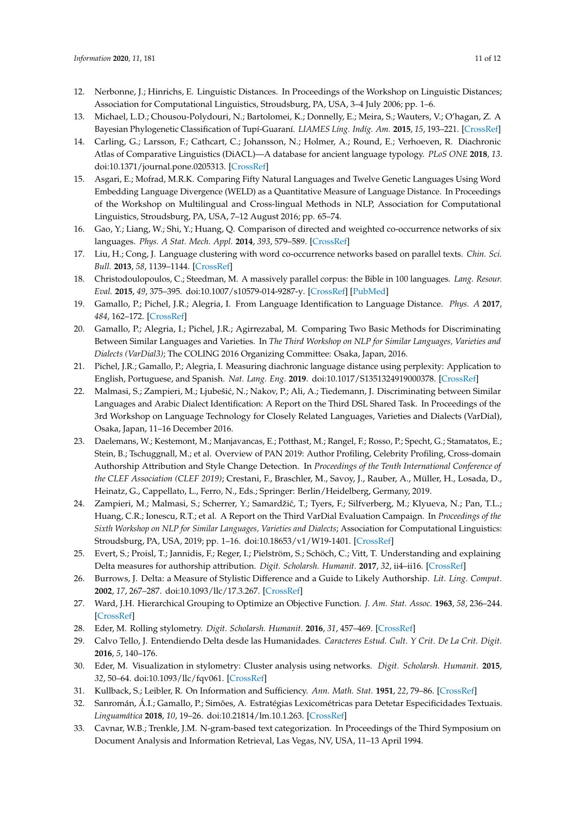- <span id="page-10-0"></span>12. Nerbonne, J.; Hinrichs, E. Linguistic Distances. In Proceedings of the Workshop on Linguistic Distances; Association for Computational Linguistics, Stroudsburg, PA, USA, 3–4 July 2006; pp. 1–6.
- <span id="page-10-1"></span>13. Michael, L.D.; Chousou-Polydouri, N.; Bartolomei, K.; Donnelly, E.; Meira, S.; Wauters, V.; O'hagan, Z. A Bayesian Phylogenetic Classification of Tupí-Guaraní. *LIAMES Líng. Indíg. Am.* **2015**, *15*, 193–221. [\[CrossRef\]](http://dx.doi.org/10.20396/liames.v15i2.8642301)
- <span id="page-10-2"></span>14. Carling, G.; Larsson, F.; Cathcart, C.; Johansson, N.; Holmer, A.; Round, E.; Verhoeven, R. Diachronic Atlas of Comparative Linguistics (DiACL)—A database for ancient language typology. *PLoS ONE* **2018**, *13*. doi[:10.1371/journal.pone.0205313.](https://doi.org/10.1371/journal.pone.0205313) [\[CrossRef\]](http://dx.doi.org/10.1371/journal.pone.0205313)
- <span id="page-10-3"></span>15. Asgari, E.; Mofrad, M.R.K. Comparing Fifty Natural Languages and Twelve Genetic Languages Using Word Embedding Language Divergence (WELD) as a Quantitative Measure of Language Distance. In Proceedings of the Workshop on Multilingual and Cross-lingual Methods in NLP, Association for Computational Linguistics, Stroudsburg, PA, USA, 7–12 August 2016; pp. 65–74.
- 16. Gao, Y.; Liang, W.; Shi, Y.; Huang, Q. Comparison of directed and weighted co-occurrence networks of six languages. *Phys. A Stat. Mech. Appl.* **2014**, *393*, 579–589. [\[CrossRef\]](http://dx.doi.org/10.1016/j.physa.2013.08.075)
- <span id="page-10-4"></span>17. Liu, H.; Cong, J. Language clustering with word co-occurrence networks based on parallel texts. *Chin. Sci. Bull.* **2013**, *58*, 1139–1144. [\[CrossRef\]](http://dx.doi.org/10.1007/s11434-013-5711-8)
- <span id="page-10-5"></span>18. Christodoulopoulos, C.; Steedman, M. A massively parallel corpus: the Bible in 100 languages. *Lang. Resour. Eval.* **2015**, *49*, 375–395. doi[:10.1007/s10579-014-9287-y.](https://doi.org/10.1007/s10579-014-9287-y) [\[CrossRef\]](http://dx.doi.org/10.1007/s10579-014-9287-y) [\[PubMed\]](http://www.ncbi.nlm.nih.gov/pubmed/26321896)
- <span id="page-10-6"></span>19. Gamallo, P.; Pichel, J.R.; Alegria, I. From Language Identification to Language Distance. *Phys. A* **2017**, *484*, 162–172. [\[CrossRef\]](http://dx.doi.org/10.1016/j.physa.2017.05.011)
- <span id="page-10-7"></span>20. Gamallo, P.; Alegria, I.; Pichel, J.R.; Agirrezabal, M. Comparing Two Basic Methods for Discriminating Between Similar Languages and Varieties. In *The Third Workshop on NLP for Similar Languages, Varieties and Dialects (VarDial3)*; The COLING 2016 Organizing Committee: Osaka, Japan, 2016.
- <span id="page-10-8"></span>21. Pichel, J.R.; Gamallo, P.; Alegria, I. Measuring diachronic language distance using perplexity: Application to English, Portuguese, and Spanish. *Nat. Lang. Eng.* **2019**. doi[:10.1017/S1351324919000378.](https://doi.org/10.1017/S1351324919000378) [\[CrossRef\]](http://dx.doi.org/10.1017/S1351324919000378)
- <span id="page-10-9"></span>22. Malmasi, S.; Zampieri, M.; Ljubešić, N.; Nakov, P.; Ali, A.; Tiedemann, J. Discriminating between Similar Languages and Arabic Dialect Identification: A Report on the Third DSL Shared Task. In Proceedings of the 3rd Workshop on Language Technology for Closely Related Languages, Varieties and Dialects (VarDial), Osaka, Japan, 11–16 December 2016.
- <span id="page-10-10"></span>23. Daelemans, W.; Kestemont, M.; Manjavancas, E.; Potthast, M.; Rangel, F.; Rosso, P.; Specht, G.; Stamatatos, E.; Stein, B.; Tschuggnall, M.; et al. Overview of PAN 2019: Author Profiling, Celebrity Profiling, Cross-domain Authorship Attribution and Style Change Detection. In *Proceedings of the Tenth International Conference of the CLEF Association (CLEF 2019)*; Crestani, F., Braschler, M., Savoy, J., Rauber, A., Müller, H., Losada, D., Heinatz, G., Cappellato, L., Ferro, N., Eds.; Springer: Berlin/Heidelberg, Germany, 2019.
- <span id="page-10-11"></span>24. Zampieri, M.; Malmasi, S.; Scherrer, Y.; Samardžić, T.; Tyers, F.; Silfverberg, M.; Klyueva, N.; Pan, T.L.; Huang, C.R.; Ionescu, R.T.; et al. A Report on the Third VarDial Evaluation Campaign. In *Proceedings of the Sixth Workshop on NLP for Similar Languages, Varieties and Dialects*; Association for Computational Linguistics: Stroudsburg, PA, USA, 2019; pp. 1–16. doi[:10.18653/v1/W19-1401.](https://doi.org/10.18653/v1/W19-1401) [\[CrossRef\]](http://dx.doi.org/10.18653/v1/W19-1401)
- <span id="page-10-12"></span>25. Evert, S.; Proisl, T.; Jannidis, F.; Reger, I.; Pielström, S.; Schöch, C.; Vitt, T. Understanding and explaining Delta measures for authorship attribution. *Digit. Scholarsh. Humanit.* **2017**, *32*, ii4–ii16. [\[CrossRef\]](http://dx.doi.org/10.1093/llc/fqx023)
- <span id="page-10-13"></span>26. Burrows, J. Delta: a Measure of Stylistic Difference and a Guide to Likely Authorship. *Lit. Ling. Comput.* **2002**, *17*, 267–287. doi[:10.1093/llc/17.3.267.](https://doi.org/10.1093/llc/17.3.267) [\[CrossRef\]](http://dx.doi.org/10.1093/llc/17.3.267)
- <span id="page-10-14"></span>27. Ward, J.H. Hierarchical Grouping to Optimize an Objective Function. *J. Am. Stat. Assoc.* **1963**, *58*, 236–244. [\[CrossRef\]](http://dx.doi.org/10.1080/01621459.1963.10500845)
- <span id="page-10-15"></span>28. Eder, M. Rolling stylometry. *Digit. Scholarsh. Humanit.* **2016**, *31*, 457–469. [\[CrossRef\]](http://dx.doi.org/10.1093/llc/fqv010)
- <span id="page-10-16"></span>29. Calvo Tello, J. Entendiendo Delta desde las Humanidades. *Caracteres Estud. Cult. Y Crit. De La Crit. Digit.* **2016**, *5*, 140–176.
- <span id="page-10-17"></span>30. Eder, M. Visualization in stylometry: Cluster analysis using networks. *Digit. Scholarsh. Humanit.* **2015**, *32*, 50–64. doi[:10.1093/llc/fqv061.](https://doi.org/10.1093/llc/fqv061) [\[CrossRef\]](http://dx.doi.org/10.1093/llc/fqv061)
- <span id="page-10-18"></span>31. Kullback, S.; Leibler, R. On Information and Sufficiency. *Ann. Math. Stat.* **1951**, *22*, 79–86. [\[CrossRef\]](http://dx.doi.org/10.1214/aoms/1177729694)
- <span id="page-10-19"></span>32. Sanromán, Á.I.; Gamallo, P.; Simões, A. Estratégias Lexicométricas para Detetar Especificidades Textuais. *Linguamática* **2018**, *10*, 19–26. doi[:10.21814/lm.10.1.263.](https://doi.org/10.21814/lm.10.1.263) [\[CrossRef\]](http://dx.doi.org/10.21814/lm.10.1.263)
- <span id="page-10-20"></span>33. Cavnar, W.B.; Trenkle, J.M. N-gram-based text categorization. In Proceedings of the Third Symposium on Document Analysis and Information Retrieval, Las Vegas, NV, USA, 11–13 April 1994.